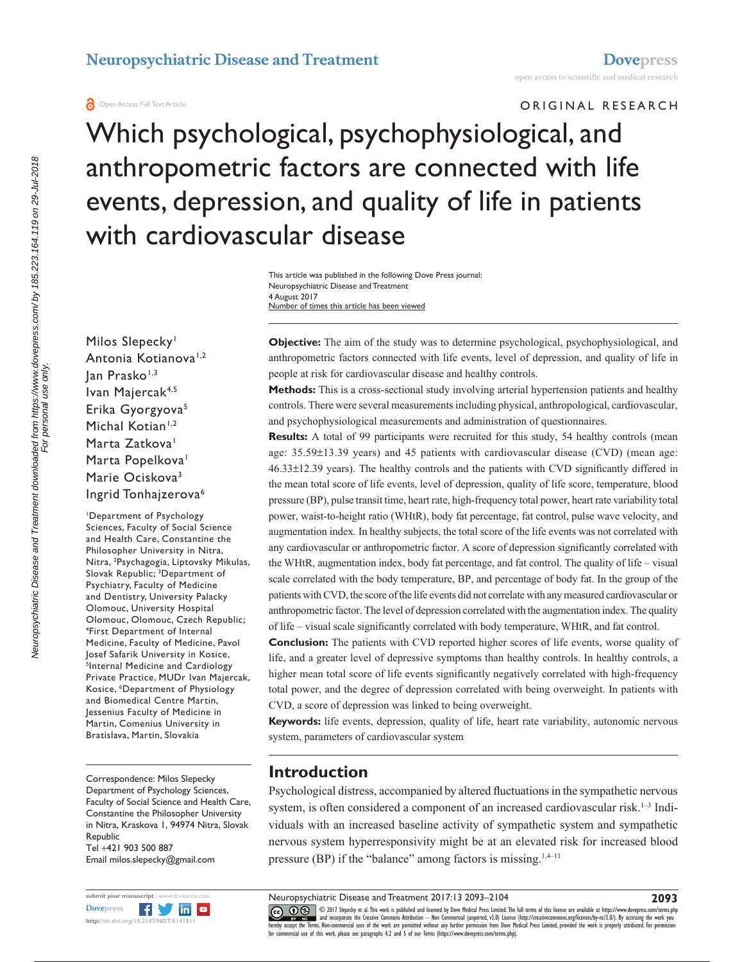ORIGINAL RESEARCH

Which psychological, psychophysiological, and anthropometric factors are connected with life events, depression, and quality of life in patients with cardiovascular disease

> Number of times this article has been viewed This article was published in the following Dove Press journal: Neuropsychiatric Disease and Treatment 4 August 2017

Milos Slepecky<sup>1</sup> Antonia Kotianova<sup>1,2</sup> Jan Prasko<sup>1,3</sup> Ivan Majercak4,5 Erika Gyorgyova5 Michal Kotian<sup>1,2</sup> Marta Zatkova<sup>1</sup> Marta Popelkova<sup>1</sup> Marie Ociskova<sup>3</sup> Ingrid Tonhajzerova<sup>6</sup>

1 Department of Psychology Sciences, Faculty of Social Science and Health Care, Constantine the Philosopher University in Nitra, Nitra, 2 Psychagogia, Liptovsky Mikulas, Slovak Republic; <sup>3</sup>Department of Psychiatry, Faculty of Medicine and Dentistry, University Palacky Olomouc, University Hospital Olomouc, Olomouc, Czech Republic; 4 First Department of Internal Medicine, Faculty of Medicine, Pavol Josef Safarik University in Kosice, <sup>5</sup>Internal Medicine and Cardiology Private Practice, MUDr Ivan Majercak, Kosice, 6 Department of Physiology and Biomedical Centre Martin, Jessenius Faculty of Medicine in Martin, Comenius University in Bratislava, Martin, Slovakia

Correspondence: Milos Slepecky Department of Psychology Sciences, Faculty of Social Science and Health Care, Constantine the Philosopher University in Nitra, Kraskova 1, 94974 Nitra, Slovak Republic Tel +421 903 500 887 Email [milos.slepecky@gmail.com](mailto:milos.slepecky@gmail.com)



**Objective:** The aim of the study was to determine psychological, psychophysiological, and anthropometric factors connected with life events, level of depression, and quality of life in people at risk for cardiovascular disease and healthy controls.

**Methods:** This is a cross-sectional study involving arterial hypertension patients and healthy controls. There were several measurements including physical, anthropological, cardiovascular, and psychophysiological measurements and administration of questionnaires.

**Results:** A total of 99 participants were recruited for this study, 54 healthy controls (mean age: 35.59±13.39 years) and 45 patients with cardiovascular disease (CVD) (mean age: 46.33±12.39 years). The healthy controls and the patients with CVD significantly differed in the mean total score of life events, level of depression, quality of life score, temperature, blood pressure (BP), pulse transit time, heart rate, high-frequency total power, heart rate variability total power, waist-to-height ratio (WHtR), body fat percentage, fat control, pulse wave velocity, and augmentation index. In healthy subjects, the total score of the life events was not correlated with any cardiovascular or anthropometric factor. A score of depression significantly correlated with the WHtR, augmentation index, body fat percentage, and fat control. The quality of life – visual scale correlated with the body temperature, BP, and percentage of body fat. In the group of the patients with CVD, the score of the life events did not correlate with any measured cardiovascular or anthropometric factor. The level of depression correlated with the augmentation index. The quality of life – visual scale significantly correlated with body temperature, WHtR, and fat control.

**Conclusion:** The patients with CVD reported higher scores of life events, worse quality of life, and a greater level of depressive symptoms than healthy controls. In healthy controls, a higher mean total score of life events significantly negatively correlated with high-frequency total power, and the degree of depression correlated with being overweight. In patients with CVD, a score of depression was linked to being overweight.

**Keywords:** life events, depression, quality of life, heart rate variability, autonomic nervous system, parameters of cardiovascular system

# **Introduction**

Psychological distress, accompanied by altered fluctuations in the sympathetic nervous system, is often considered a component of an increased cardiovascular risk.<sup>1-3</sup> Individuals with an increased baseline activity of sympathetic system and sympathetic nervous system hyperresponsivity might be at an elevated risk for increased blood pressure (BP) if the "balance" among factors is missing. $1,4-11$ 

Neuropsychiatric Disease and Treatment 2017:13 2093–2104

**2093**

CCC 1 © 2017 Slepecky et al. This work is published and licensed by Dove Medical Press Limited. The full terms of this license are available at <https://www.dovepress.com/terms.php><br>[hereby accept the Terms](http://www.dovepress.com/permissions.php). Non-commercial us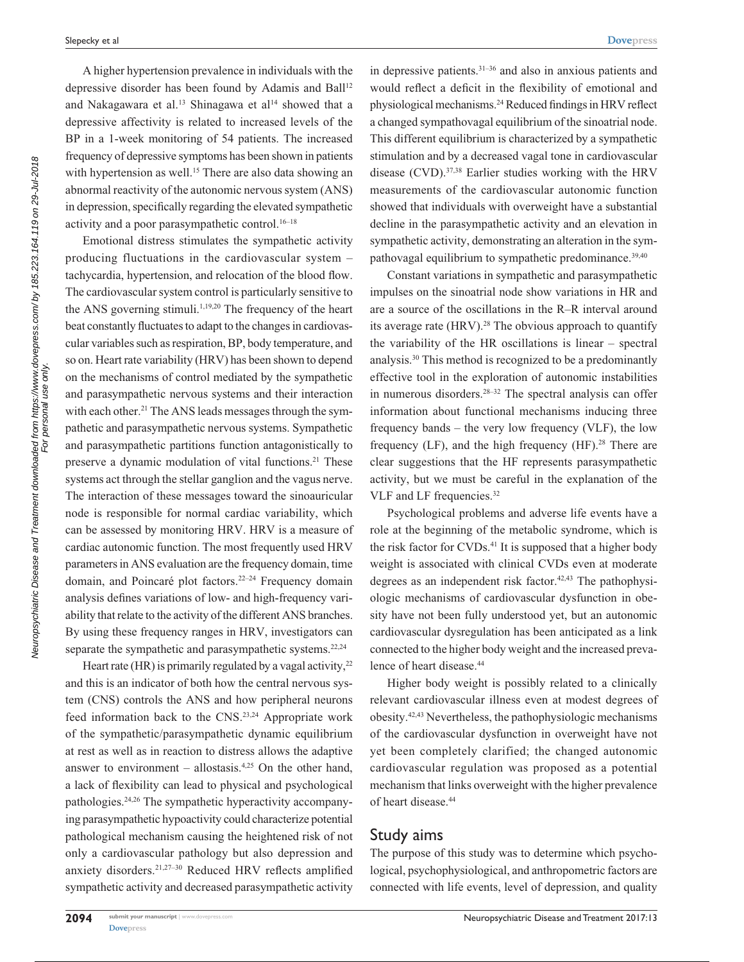A higher hypertension prevalence in individuals with the depressive disorder has been found by Adamis and Ball<sup>12</sup> and Nakagawara et al.<sup>13</sup> Shinagawa et al<sup>14</sup> showed that a depressive affectivity is related to increased levels of the BP in a 1-week monitoring of 54 patients. The increased frequency of depressive symptoms has been shown in patients with hypertension as well.<sup>15</sup> There are also data showing an abnormal reactivity of the autonomic nervous system (ANS) in depression, specifically regarding the elevated sympathetic activity and a poor parasympathetic control.16–18

Emotional distress stimulates the sympathetic activity producing fluctuations in the cardiovascular system – tachycardia, hypertension, and relocation of the blood flow. The cardiovascular system control is particularly sensitive to the ANS governing stimuli.<sup>1,19,20</sup> The frequency of the heart beat constantly fluctuates to adapt to the changes in cardiovascular variables such as respiration, BP, body temperature, and so on. Heart rate variability (HRV) has been shown to depend on the mechanisms of control mediated by the sympathetic and parasympathetic nervous systems and their interaction with each other.<sup>21</sup> The ANS leads messages through the sympathetic and parasympathetic nervous systems. Sympathetic and parasympathetic partitions function antagonistically to preserve a dynamic modulation of vital functions.<sup>21</sup> These systems act through the stellar ganglion and the vagus nerve. The interaction of these messages toward the sinoauricular node is responsible for normal cardiac variability, which can be assessed by monitoring HRV. HRV is a measure of cardiac autonomic function. The most frequently used HRV parameters in ANS evaluation are the frequency domain, time domain, and Poincaré plot factors.22–24 Frequency domain analysis defines variations of low- and high-frequency variability that relate to the activity of the different ANS branches. By using these frequency ranges in HRV, investigators can separate the sympathetic and parasympathetic systems.<sup>22,24</sup>

Heart rate (HR) is primarily regulated by a vagal activity,  $2^2$ and this is an indicator of both how the central nervous system (CNS) controls the ANS and how peripheral neurons feed information back to the CNS.23,24 Appropriate work of the sympathetic/parasympathetic dynamic equilibrium at rest as well as in reaction to distress allows the adaptive answer to environment – allostasis. $4,25$  On the other hand, a lack of flexibility can lead to physical and psychological pathologies.24,26 The sympathetic hyperactivity accompanying parasympathetic hypoactivity could characterize potential pathological mechanism causing the heightened risk of not only a cardiovascular pathology but also depression and anxiety disorders.21,27–30 Reduced HRV reflects amplified sympathetic activity and decreased parasympathetic activity

in depressive patients.31–36 and also in anxious patients and would reflect a deficit in the flexibility of emotional and physiological mechanisms.24 Reduced findings in HRV reflect a changed sympathovagal equilibrium of the sinoatrial node. This different equilibrium is characterized by a sympathetic stimulation and by a decreased vagal tone in cardiovascular disease  $(CVD)$ .<sup>37,38</sup> Earlier studies working with the HRV measurements of the cardiovascular autonomic function showed that individuals with overweight have a substantial decline in the parasympathetic activity and an elevation in sympathetic activity, demonstrating an alteration in the sympathovagal equilibrium to sympathetic predominance.<sup>39,40</sup>

Constant variations in sympathetic and parasympathetic impulses on the sinoatrial node show variations in HR and are a source of the oscillations in the R–R interval around its average rate  $(HRV)$ .<sup>28</sup> The obvious approach to quantify the variability of the HR oscillations is linear – spectral analysis.30 This method is recognized to be a predominantly effective tool in the exploration of autonomic instabilities in numerous disorders.28–32 The spectral analysis can offer information about functional mechanisms inducing three frequency bands – the very low frequency (VLF), the low frequency (LF), and the high frequency (HF).<sup>28</sup> There are clear suggestions that the HF represents parasympathetic activity, but we must be careful in the explanation of the VLF and LF frequencies.32

Psychological problems and adverse life events have a role at the beginning of the metabolic syndrome, which is the risk factor for CVDs.<sup>41</sup> It is supposed that a higher body weight is associated with clinical CVDs even at moderate degrees as an independent risk factor. $42,43$  The pathophysiologic mechanisms of cardiovascular dysfunction in obesity have not been fully understood yet, but an autonomic cardiovascular dysregulation has been anticipated as a link connected to the higher body weight and the increased prevalence of heart disease.<sup>44</sup>

Higher body weight is possibly related to a clinically relevant cardiovascular illness even at modest degrees of obesity.42,43 Nevertheless, the pathophysiologic mechanisms of the cardiovascular dysfunction in overweight have not yet been completely clarified; the changed autonomic cardiovascular regulation was proposed as a potential mechanism that links overweight with the higher prevalence of heart disease.<sup>44</sup>

#### Study aims

The purpose of this study was to determine which psychological, psychophysiological, and anthropometric factors are connected with life events, level of depression, and quality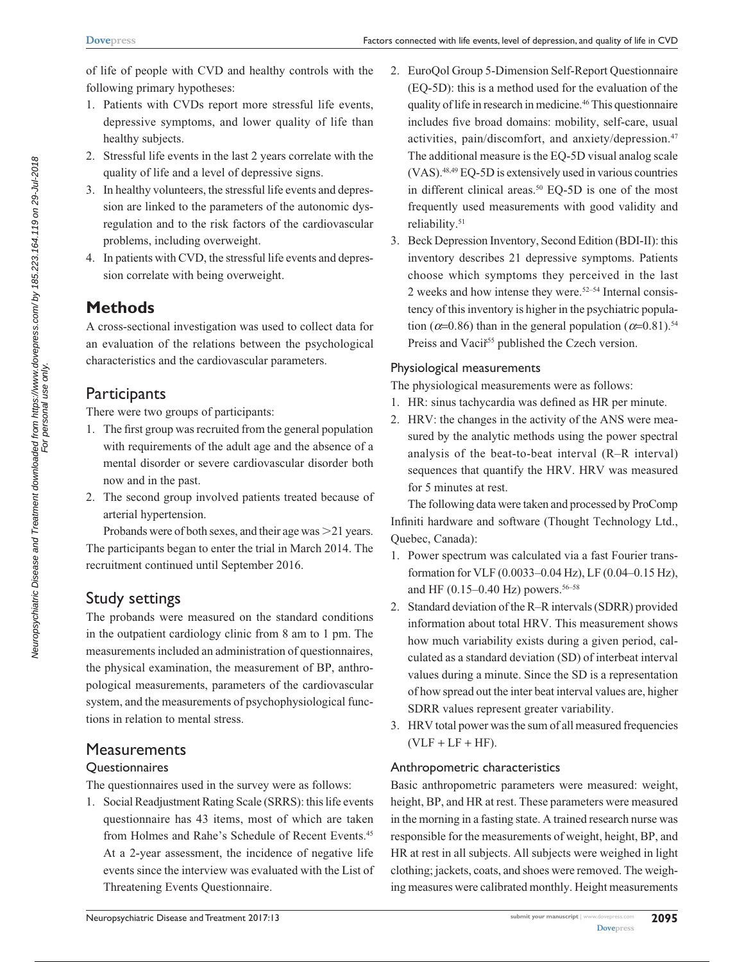of life of people with CVD and healthy controls with the following primary hypotheses:

- 1. Patients with CVDs report more stressful life events, depressive symptoms, and lower quality of life than healthy subjects.
- 2. Stressful life events in the last 2 years correlate with the quality of life and a level of depressive signs.
- 3. In healthy volunteers, the stressful life events and depression are linked to the parameters of the autonomic dysregulation and to the risk factors of the cardiovascular problems, including overweight.
- 4. In patients with CVD, the stressful life events and depression correlate with being overweight.

## **Methods**

A cross-sectional investigation was used to collect data for an evaluation of the relations between the psychological characteristics and the cardiovascular parameters.

## **Participants**

There were two groups of participants:

- 1. The first group was recruited from the general population with requirements of the adult age and the absence of a mental disorder or severe cardiovascular disorder both now and in the past.
- 2. The second group involved patients treated because of arterial hypertension.

Probands were of both sexes, and their age was  $>21$  years. The participants began to enter the trial in March 2014. The recruitment continued until September 2016.

## Study settings

The probands were measured on the standard conditions in the outpatient cardiology clinic from 8 am to 1 pm. The measurements included an administration of questionnaires, the physical examination, the measurement of BP, anthropological measurements, parameters of the cardiovascular system, and the measurements of psychophysiological functions in relation to mental stress.

## **Measurements**

#### **Questionnaires**

The questionnaires used in the survey were as follows:

1. Social Readjustment Rating Scale (SRRS): this life events questionnaire has 43 items, most of which are taken from Holmes and Rahe's Schedule of Recent Events.45 At a 2-year assessment, the incidence of negative life events since the interview was evaluated with the List of Threatening Events Questionnaire.

- 2. EuroQol Group 5-Dimension Self-Report Questionnaire (EQ-5D): this is a method used for the evaluation of the quality of life in research in medicine.46 This questionnaire includes five broad domains: mobility, self-care, usual activities, pain/discomfort, and anxiety/depression.<sup>47</sup> The additional measure is the EQ-5D visual analog scale (VAS).48,49 EQ-5D is extensively used in various countries in different clinical areas.<sup>50</sup> EQ-5D is one of the most frequently used measurements with good validity and reliability.51
- 3. Beck Depression Inventory, Second Edition (BDI-II): this inventory describes 21 depressive symptoms. Patients choose which symptoms they perceived in the last 2 weeks and how intense they were. $52-54$  Internal consistency of this inventory is higher in the psychiatric population ( $\alpha$ =0.86) than in the general population ( $\alpha$ =0.81).<sup>54</sup> Preiss and Vaciř<sup>55</sup> published the Czech version.

#### Physiological measurements

The physiological measurements were as follows:

- 1. HR: sinus tachycardia was defined as HR per minute.
- 2. HRV: the changes in the activity of the ANS were measured by the analytic methods using the power spectral analysis of the beat-to-beat interval (R–R interval) sequences that quantify the HRV. HRV was measured for 5 minutes at rest.

The following data were taken and processed by ProComp Infiniti hardware and software (Thought Technology Ltd., Quebec, Canada):

- 1. Power spectrum was calculated via a fast Fourier transformation for VLF (0.0033–0.04 Hz), LF (0.04–0.15 Hz), and HF (0.15–0.40 Hz) powers.<sup>56–58</sup>
- 2. Standard deviation of the R–R intervals (SDRR) provided information about total HRV. This measurement shows how much variability exists during a given period, calculated as a standard deviation (SD) of interbeat interval values during a minute. Since the SD is a representation of how spread out the inter beat interval values are, higher SDRR values represent greater variability.
- 3. HRV total power was the sum of all measured frequencies  $(VLF + LF + HF).$

#### Anthropometric characteristics

Basic anthropometric parameters were measured: weight, height, BP, and HR at rest. These parameters were measured in the morning in a fasting state. A trained research nurse was responsible for the measurements of weight, height, BP, and HR at rest in all subjects. All subjects were weighed in light clothing; jackets, coats, and shoes were removed. The weighing measures were calibrated monthly. Height measurements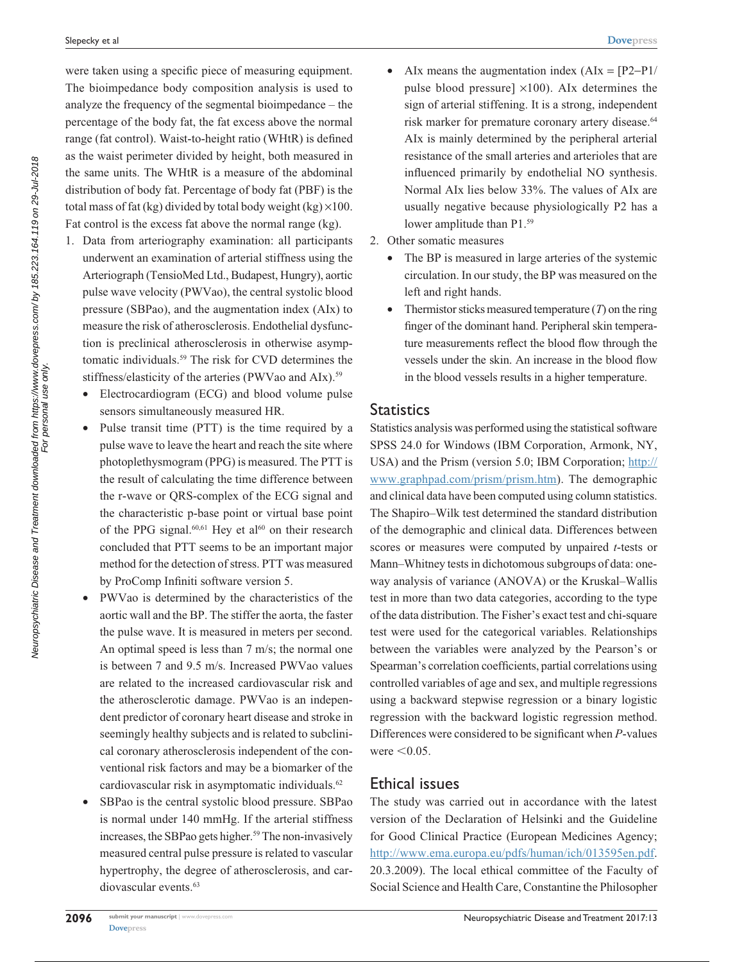were taken using a specific piece of measuring equipment. The bioimpedance body composition analysis is used to analyze the frequency of the segmental bioimpedance – the percentage of the body fat, the fat excess above the normal range (fat control). Waist-to-height ratio (WHtR) is defined as the waist perimeter divided by height, both measured in the same units. The WHtR is a measure of the abdominal distribution of body fat. Percentage of body fat (PBF) is the total mass of fat (kg) divided by total body weight (kg)  $\times$ 100. Fat control is the excess fat above the normal range (kg).

- 1. Data from arteriography examination: all participants underwent an examination of arterial stiffness using the Arteriograph (TensioMed Ltd., Budapest, Hungry), aortic pulse wave velocity (PWVao), the central systolic blood pressure (SBPao), and the augmentation index (AIx) to measure the risk of atherosclerosis. Endothelial dysfunction is preclinical atherosclerosis in otherwise asymptomatic individuals.59 The risk for CVD determines the stiffness/elasticity of the arteries (PWVao and AIx).<sup>59</sup>
	- Electrocardiogram (ECG) and blood volume pulse sensors simultaneously measured HR.
	- Pulse transit time (PTT) is the time required by a pulse wave to leave the heart and reach the site where photoplethysmogram (PPG) is measured. The PTT is the result of calculating the time difference between the r-wave or QRS-complex of the ECG signal and the characteristic p-base point or virtual base point of the PPG signal.<sup>60,61</sup> Hey et al<sup>60</sup> on their research concluded that PTT seems to be an important major method for the detection of stress. PTT was measured by ProComp Infiniti software version 5.
	- • PWVao is determined by the characteristics of the aortic wall and the BP. The stiffer the aorta, the faster the pulse wave. It is measured in meters per second. An optimal speed is less than 7 m/s; the normal one is between 7 and 9.5 m/s. Increased PWVao values are related to the increased cardiovascular risk and the atherosclerotic damage. PWVao is an independent predictor of coronary heart disease and stroke in seemingly healthy subjects and is related to subclinical coronary atherosclerosis independent of the conventional risk factors and may be a biomarker of the cardiovascular risk in asymptomatic individuals.<sup>62</sup>
	- • SBPao is the central systolic blood pressure. SBPao is normal under 140 mmHg. If the arterial stiffness increases, the SBPao gets higher.<sup>59</sup> The non-invasively measured central pulse pressure is related to vascular hypertrophy, the degree of atherosclerosis, and cardiovascular events.<sup>63</sup>
- AIx means the augmentation index  $(AIx = [P2-P1]/$ pulse blood pressure]  $\times$ 100). AIx determines the sign of arterial stiffening. It is a strong, independent risk marker for premature coronary artery disease.<sup>64</sup> AIx is mainly determined by the peripheral arterial resistance of the small arteries and arterioles that are influenced primarily by endothelial NO synthesis. Normal AIx lies below 33%. The values of AIx are usually negative because physiologically P2 has a lower amplitude than P1.<sup>59</sup>
- 2. Other somatic measures
	- The BP is measured in large arteries of the systemic circulation. In our study, the BP was measured on the left and right hands.
	- Thermistor sticks measured temperature  $(T)$  on the ring finger of the dominant hand. Peripheral skin temperature measurements reflect the blood flow through the vessels under the skin. An increase in the blood flow in the blood vessels results in a higher temperature.

#### **Statistics**

Statistics analysis was performed using the statistical software SPSS 24.0 for Windows (IBM Corporation, Armonk, NY, USA) and the Prism (version 5.0; IBM Corporation; [http://](http://www.graphpad.com/prism/prism.htm) [www.graphpad.com/prism/prism.htm](http://www.graphpad.com/prism/prism.htm)). The demographic and clinical data have been computed using column statistics. The Shapiro–Wilk test determined the standard distribution of the demographic and clinical data. Differences between scores or measures were computed by unpaired *t*-tests or Mann–Whitney tests in dichotomous subgroups of data: oneway analysis of variance (ANOVA) or the Kruskal–Wallis test in more than two data categories, according to the type of the data distribution. The Fisher's exact test and chi-square test were used for the categorical variables. Relationships between the variables were analyzed by the Pearson's or Spearman's correlation coefficients, partial correlations using controlled variables of age and sex, and multiple regressions using a backward stepwise regression or a binary logistic regression with the backward logistic regression method. Differences were considered to be significant when *P*-values were  $< 0.05$ .

### Ethical issues

The study was carried out in accordance with the latest version of the Declaration of Helsinki and the Guideline for Good Clinical Practice (European Medicines Agency; [http://www.ema.europa.eu/pdfs/human/ich/013595en.pdf.](http://www.ema.europa.eu/pdfs/human/ich/013595en.pdf) 20.3.2009). The local ethical committee of the Faculty of Social Science and Health Care, Constantine the Philosopher

**[Dovepress](www.dovepress.com)  2096**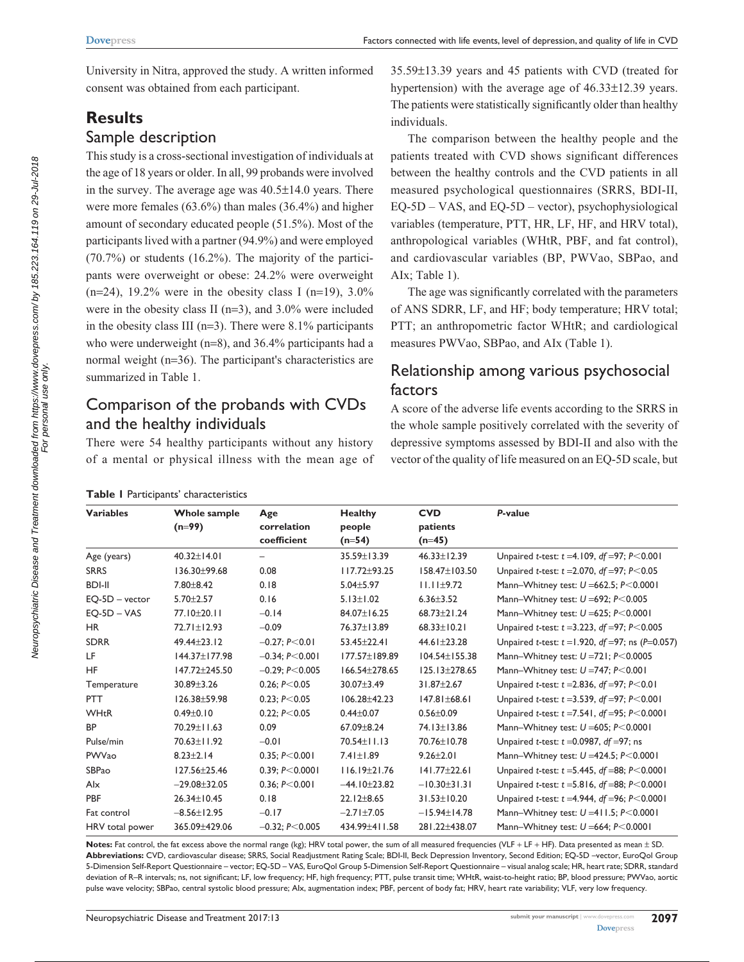University in Nitra, approved the study. A written informed consent was obtained from each participant.

# **Results**

### Sample description

This study is a cross-sectional investigation of individuals at the age of 18 years or older. In all, 99 probands were involved in the survey. The average age was 40.5±14.0 years. There were more females (63.6%) than males (36.4%) and higher amount of secondary educated people (51.5%). Most of the participants lived with a partner (94.9%) and were employed (70.7%) or students (16.2%). The majority of the participants were overweight or obese: 24.2% were overweight  $(n=24)$ , 19.2% were in the obesity class I  $(n=19)$ , 3.0% were in the obesity class II (n=3), and 3.0% were included in the obesity class III ( $n=3$ ). There were 8.1% participants who were underweight (n=8), and 36.4% participants had a normal weight (n=36). The participant's characteristics are summarized in Table 1.

# Comparison of the probands with CVDs and the healthy individuals

There were 54 healthy participants without any history of a mental or physical illness with the mean age of

| Table I Participants' characteristics |
|---------------------------------------|
|                                       |

35.59±13.39 years and 45 patients with CVD (treated for hypertension) with the average age of 46.33±12.39 years. The patients were statistically significantly older than healthy individuals.

The comparison between the healthy people and the patients treated with CVD shows significant differences between the healthy controls and the CVD patients in all measured psychological questionnaires (SRRS, BDI-II, EQ-5D – VAS, and EQ-5D – vector), psychophysiological variables (temperature, PTT, HR, LF, HF, and HRV total), anthropological variables (WHtR, PBF, and fat control), and cardiovascular variables (BP, PWVao, SBPao, and AIx; Table 1).

The age was significantly correlated with the parameters of ANS SDRR, LF, and HF; body temperature; HRV total; PTT; an anthropometric factor WHtR; and cardiological measures PWVao, SBPao, and AIx (Table 1).

# Relationship among various psychosocial factors

A score of the adverse life events according to the SRRS in the whole sample positively correlated with the severity of depressive symptoms assessed by BDI-II and also with the vector of the quality of life measured on an EQ-5D scale, but

| <b>Variables</b> | Whole sample<br>$(n=99)$ | Age<br>correlation<br>coefficient | <b>Healthy</b><br>people<br>$(n=54)$ | <b>CVD</b><br>patients<br>$(n=45)$ | P-value                                                            |
|------------------|--------------------------|-----------------------------------|--------------------------------------|------------------------------------|--------------------------------------------------------------------|
| Age (years)      | $40.32 + 14.01$          | -                                 | 35.59±13.39                          | $46.33 \pm 12.39$                  | Unpaired <i>t</i> -test: $t = 4.109$ , $df = 97$ ; $P < 0.001$     |
| <b>SRRS</b>      | 136.30±99.68             | 0.08                              | $117.72 \pm 93.25$                   | 158.47±103.50                      | Unpaired <i>t</i> -test: $t = 2.070$ , df = 97; P<0.05             |
| <b>BDI-II</b>    | $7.80 \pm 8.42$          | 0.18                              | $5.04 \pm 5.97$                      | $11.11 \pm 9.72$                   | Mann-Whitney test: $U = 662.5$ ; $P < 0.0001$                      |
| $EO-5D - vector$ | $5.70 \pm 2.57$          | 0.16                              | $5.13 \pm 1.02$                      | $6.36 \pm 3.52$                    | Mann-Whitney test: $U = 692$ ; $P < 0.005$                         |
| $EO-SD - VAS$    | 77.10±20.11              | $-0.14$                           | 84.07±16.25                          | $68.73 + 21.24$                    | Mann-Whitney test: $U = 625$ ; $P < 0.0001$                        |
| <b>HR</b>        | 72.71±12.93              | $-0.09$                           | 76.37±13.89                          | $68.33 \pm 10.21$                  | Unpaired <i>t</i> -test: $t = 3.223$ , <i>df</i> = 97; $P < 0.005$ |
| <b>SDRR</b>      | 49.44±23.12              | $-0.27: P< 0.01$                  | 53.45±22.41                          | 44.61±23.28                        | Unpaired <i>t</i> -test: $t = 1.920$ , $df = 97$ ; ns (P=0.057)    |
| LF               | 144.37±177.98            | $-0.34: P< 0.001$                 | 177.57±189.89                        | $104.54 \pm 155.38$                | Mann-Whitney test: U =721; P<0.0005                                |
| HF               | 147.72±245.50            | $-0.29: P< 0.005$                 | 166.54±278.65                        | 125.13±278.65                      | Mann-Whitney test: $U = 747$ ; $P < 0.001$                         |
| Temperature      | 30.89±3.26               | 0.26: P < 0.05                    | 30.07±3.49                           | $31.87 + 2.67$                     | Unpaired <i>t</i> -test: $t = 2.836$ , df = 97; P<0.01             |
| <b>PTT</b>       | $126.38 + 59.98$         | 0.23: P < 0.05                    | $106.28 + 42.23$                     | $147.81 \pm 68.61$                 | Unpaired <i>t</i> -test: $t = 3.539$ , $df = 97$ ; $P < 0.001$     |
| WHtR             | $0.49 \pm 0.10$          | 0.22: P < 0.05                    | $0.44 \pm 0.07$                      | $0.56 \pm 0.09$                    | Unpaired <i>t</i> -test: $t = 7.541$ , $df = 95$ ; $P < 0.0001$    |
| <b>BP</b>        | 70.29±11.63              | 0.09                              | $67.09 \pm 8.24$                     | 74.13±13.86                        | Mann-Whitney test: $U = 605$ ; $P < 0.0001$                        |
| Pulse/min        | 70.63±11.92              | $-0.01$                           | 70.54±11.13                          | 70.76±10.78                        | Unpaired t-test: $t = 0.0987$ , df =97; ns                         |
| PWVao            | $8.23 \pm 2.14$          | 0.35; P< 0.001                    | $7.41 \pm 1.89$                      | $9.26 + 2.01$                      | Mann-Whitney test: $U = 424.5$ ; $P < 0.0001$                      |
| SBPao            | 127.56±25.46             | 0.39: P < 0.0001                  | $116.19 \pm 21.76$                   | $141.77 \pm 22.61$                 | Unpaired <i>t</i> -test: $t = 5.445$ , $df = 88$ ; $P < 0.0001$    |
| Alx              | $-29.08 \pm 32.05$       | 0.36; P< 0.001                    | $-44.10 \pm 23.82$                   | $-10.30 \pm 31.31$                 | Unpaired <i>t</i> -test: $t = 5.816$ , $df = 88$ ; $P < 0.0001$    |
| <b>PBF</b>       | 26.34±10.45              | 0.18                              | $22.12 \pm 8.65$                     | $31.53 \pm 10.20$                  | Unpaired <i>t</i> -test: $t = 4.944$ , $df = 96$ ; $P < 0.0001$    |
| Fat control      | $-8.56 \pm 12.95$        | $-0.17$                           | $-2.71 \pm 7.05$                     | $-15.94\pm 14.78$                  | Mann-Whitney test: $U = 411.5$ ; $P < 0.0001$                      |
| HRV total power  | 365.09±429.06            | $-0.32; P< 0.005$                 | 434.99±411.58                        | 281.22±438.07                      | Mann-Whitney test: $U = 664$ ; $P < 0.0001$                        |

**Notes:** Fat control, the fat excess above the normal range (kg); HRV total power, the sum of all measured frequencies (VLF + LF + HF). Data presented as mean ± SD. **Abbreviations:** CVD, cardiovascular disease; SRRS, Social Readjustment Rating Scale; BDI-II, Beck Depression Inventory, Second Edition; EQ-5D –vector, EuroQol Group 5-Dimension Self-Report Questionnaire – vector; EQ-5D – VAS, EuroQol Group 5-Dimension Self-Report Questionnaire – visual analog scale; HR, heart rate; SDRR, standard deviation of R–R intervals; ns, not significant; LF, low frequency; HF, high frequency; PTT, pulse transit time; WHtR, waist-to-height ratio; BP, blood pressure; PWVao, aortic pulse wave velocity; SBPao, central systolic blood pressure; AIx, augmentation index; PBF, percent of body fat; HRV, heart rate variability; VLF, very low frequency.

For personal use only.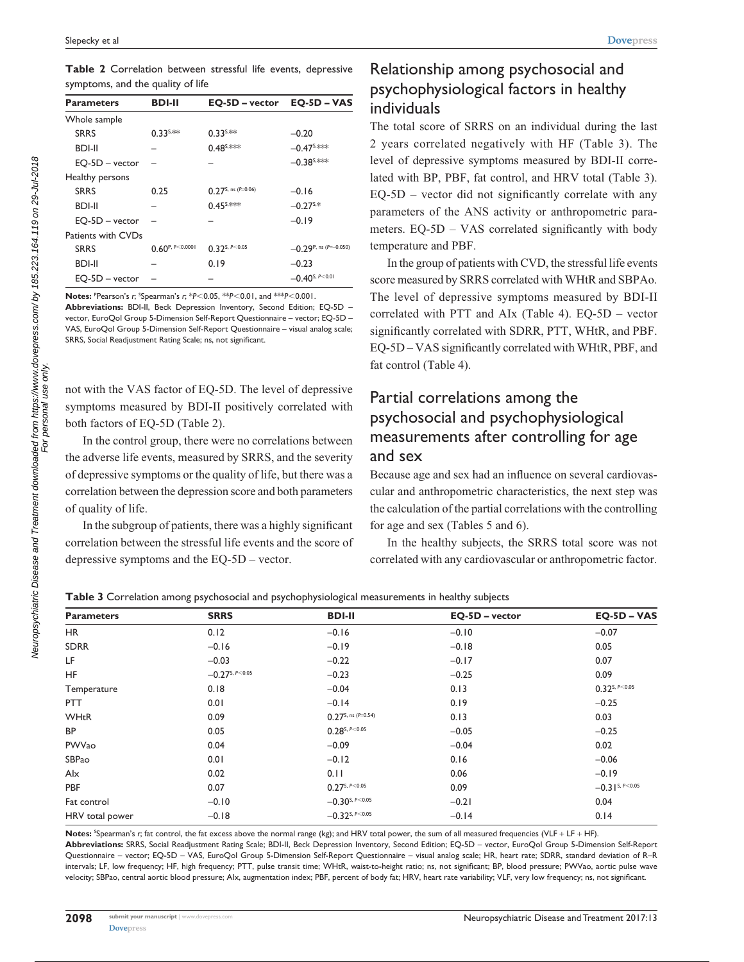**Table 2** Correlation between stressful life events, depressive symptoms, and the quality of life

| <b>Parameters</b>  | <b>BDI-II</b>            | EQ-5D – vector                                | $EQ-5D - VAS$                   |
|--------------------|--------------------------|-----------------------------------------------|---------------------------------|
| Whole sample       |                          |                                               |                                 |
| <b>SRRS</b>        | $0.33^{5,**}$            | $0.33^{5,**}$                                 | $-0.20$                         |
| <b>BDI-II</b>      |                          | $0.48^{s,***}$                                | $-0.47$ <sup>S,***</sup>        |
| EQ-5D - vector     |                          |                                               | $-0.38$ <sup>S,***</sup>        |
| Healthy persons    |                          |                                               |                                 |
| <b>SRRS</b>        | 0.25                     | $0.27$ S, ns (P=0.06)                         | $-0.16$                         |
| <b>BDI-II</b>      |                          | $0.45$ <sup>S,***</sup>                       | $-0.27$ <sup>S,*</sup>          |
| $EQ-5D - vector$   |                          |                                               | $-0.19$                         |
| Patients with CVDs |                          |                                               |                                 |
| <b>SRRS</b>        | $0.60^{P, P \le 0.0001}$ | $0.32$ <sup>S, <math>P &lt; 0.05</math></sup> | $-0.29$ P, ns (P=-0.050)        |
| <b>BDI-II</b>      |                          | 0.19                                          | $-0.23$                         |
| $EQ-5D - vector$   |                          |                                               | $-0.40$ <sup>S, P&lt;0.01</sup> |

**Notes:** <sup>P</sup> Pearson's *r*; S Spearman's *r*; \**P*,0.05, \*\**P*,0.01, and \*\*\**P*,0.001. **Abbreviations:** BDI-II, Beck Depression Inventory, Second Edition; EQ-5D – vector, EuroQol Group 5-Dimension Self-Report Questionnaire – vector; EQ-5D – VAS, EuroQol Group 5-Dimension Self-Report Questionnaire – visual analog scale; SRRS, Social Readjustment Rating Scale; ns, not significant.

not with the VAS factor of EQ-5D. The level of depressive symptoms measured by BDI-II positively correlated with both factors of EQ-5D (Table 2).

In the control group, there were no correlations between the adverse life events, measured by SRRS, and the severity of depressive symptoms or the quality of life, but there was a correlation between the depression score and both parameters of quality of life.

In the subgroup of patients, there was a highly significant correlation between the stressful life events and the score of depressive symptoms and the EQ-5D – vector.

# Relationship among psychosocial and psychophysiological factors in healthy individuals

The total score of SRRS on an individual during the last 2 years correlated negatively with HF (Table 3). The level of depressive symptoms measured by BDI-II correlated with BP, PBF, fat control, and HRV total (Table 3). EQ-5D – vector did not significantly correlate with any parameters of the ANS activity or anthropometric parameters. EQ-5D – VAS correlated significantly with body temperature and PBF.

In the group of patients with CVD, the stressful life events score measured by SRRS correlated with WHtR and SBPAo. The level of depressive symptoms measured by BDI-II correlated with PTT and AIx (Table 4). EQ-5D – vector significantly correlated with SDRR, PTT, WHtR, and PBF. EQ-5D – VAS significantly correlated with WHtR, PBF, and fat control (Table 4).

# Partial correlations among the psychosocial and psychophysiological measurements after controlling for age and sex

Because age and sex had an influence on several cardiovascular and anthropometric characteristics, the next step was the calculation of the partial correlations with the controlling for age and sex (Tables 5 and 6).

In the healthy subjects, the SRRS total score was not correlated with any cardiovascular or anthropometric factor.

| <b>Parameters</b> | <b>SRRS</b>                     | <b>BDI-II</b>                   | EQ-5D - vector  | $EQ-5D - VAS$        |  |
|-------------------|---------------------------------|---------------------------------|-----------------|----------------------|--|
| HR                | 0.12                            | $-0.16$                         | $-0.10$         | $-0.07$              |  |
| <b>SDRR</b>       | $-0.16$                         | $-0.19$                         | $-0.18$         | 0.05                 |  |
| LF                | $-0.03$                         | $-0.22$                         | $-0.17$         | 0.07                 |  |
| HF                | $-0.27$ <sup>S, P&lt;0.05</sup> | $-0.23$                         | $-0.25$         | 0.09                 |  |
| Temperature       | 0.18                            | $-0.04$                         | 0.13            | $0.32$ S, $P < 0.05$ |  |
| <b>PTT</b>        | 0.01                            | $-0.14$                         | 0.19            | $-0.25$              |  |
| <b>WHtR</b>       | 0.09                            | $0.27$ S, ns (P=0.54)<br>0.13   |                 | 0.03                 |  |
| <b>BP</b>         | 0.05                            | $0.28$ <sup>S, P&lt;0.05</sup>  | $-0.05$         | $-0.25$              |  |
| PWVao             | 0.04                            | $-0.09$                         | $-0.04$         | 0.02                 |  |
| SBPao             | 0.01                            | $-0.12$                         | 0.16            | $-0.06$              |  |
| Alx               | 0.02                            | 0.11<br>0.06                    |                 | $-0.19$              |  |
| PBF               | 0.07                            | $0.27^{s, P<0.05}$              | 0.09            | $-0.31$ S, P<0.05    |  |
| Fat control       | $-0.10$                         | $-0.30$ <sup>S, P&lt;0.05</sup> | $-0.21$         | 0.04                 |  |
| HRV total power   | $-0.18$                         | $-0.32$ <sup>S, P&lt;0.05</sup> | $-0.14$<br>0.14 |                      |  |

**Table 3** Correlation among psychosocial and psychophysiological measurements in healthy subjects

**Notes:** <sup>S</sup> Spearman's *r*; fat control, the fat excess above the normal range (kg); and HRV total power, the sum of all measured frequencies (VLF + LF + HF). **Abbreviations:** SRRS, Social Readjustment Rating Scale; BDI-II, Beck Depression Inventory, Second Edition; EQ-5D – vector, EuroQol Group 5-Dimension Self-Report Questionnaire – vector; EQ-5D – VAS, EuroQol Group 5-Dimension Self-Report Questionnaire – visual analog scale; HR, heart rate; SDRR, standard deviation of R–R intervals; LF, low frequency; HF, high frequency; PTT, pulse transit time; WHtR, waist-to-height ratio; ns, not significant; BP, blood pressure; PWVao, aortic pulse wave velocity; SBPao, central aortic blood pressure; AIx, augmentation index; PBF, percent of body fat; HRV, heart rate variability; VLF, very low frequency; ns, not significant.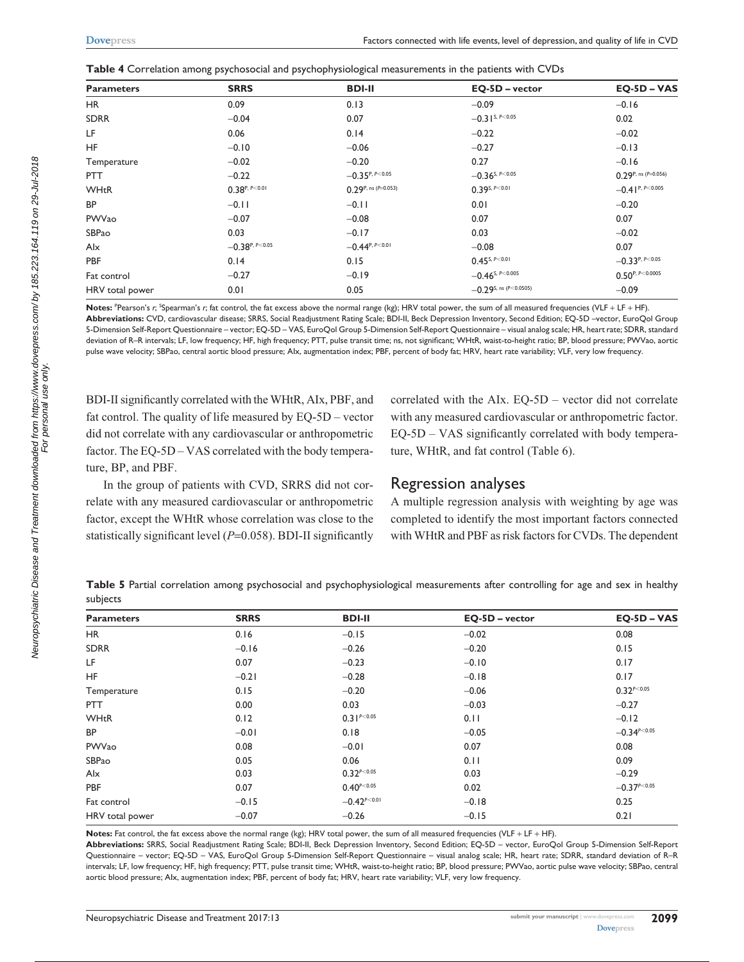|  | ${\sf Table~4}$ Correlation among psychosocial and psychophysiological measurements in the patients with CVDs |  |
|--|---------------------------------------------------------------------------------------------------------------|--|
|  |                                                                                                               |  |

| <b>Parameters</b> | <b>SRRS</b>             | <b>BDI-II</b>                                  | EQ-5D - vector                   | $EO-SD - VAS$          |  |
|-------------------|-------------------------|------------------------------------------------|----------------------------------|------------------------|--|
| <b>HR</b>         | 0.09                    | 0.13                                           | $-0.09$                          | $-0.16$                |  |
| <b>SDRR</b>       | $-0.04$                 | 0.07                                           | $-0.31$ S, P < 0.05              | 0.02                   |  |
| LF                | 0.06                    | 0.14                                           | $-0.22$                          | $-0.02$                |  |
| <b>HF</b>         | $-0.10$                 | $-0.06$                                        | $-0.27$                          | $-0.13$                |  |
| Temperature       | $-0.02$                 | $-0.20$                                        | 0.27                             | $-0.16$                |  |
| <b>PTT</b>        | $-0.22$                 | $-0.35^{P, P<0.05}$                            | $-0.36$ <sup>S, P&lt;0.05</sup>  | $0.29$ P, ns (P=0.056) |  |
| <b>WHtR</b>       | $0.38^{P, P \le 0.01}$  | $0.29$ P, ns (P=0.053)<br>$0.39$ S, $P < 0.01$ |                                  | $-0.41^{P, P<0.005}$   |  |
| <b>BP</b>         | $-0.11$                 | $-0.11$                                        | 0.01                             | $-0.20$                |  |
| PWVao             | $-0.07$                 | $-0.08$                                        | 0.07                             | 0.07                   |  |
| SBPao             | 0.03<br>0.03<br>$-0.17$ |                                                |                                  | $-0.02$                |  |
| Alx               | $-0.38$ P, P<0.05       | $-0.44^{P, P<0.01}$<br>$-0.08$                 |                                  | 0.07                   |  |
| <b>PBF</b>        | 0.14                    | 0.15                                           | $0.45$ <sup>S, P&lt;0.01</sup>   | $-0.33^{P, P<0.05}$    |  |
| Fat control       | $-0.27$                 | $-0.19$                                        | $-0.46$ <sup>S, P&lt;0.005</sup> | $0.50^{P, P<0.0005}$   |  |
| HRV total power   | 0.01                    | 0.05                                           | $-0.29$ S, ns (P<0.0505)         | $-0.09$                |  |

Notes: "Pearson's r; <sup>s</sup>Spearman's r; fat control, the fat excess above the normal range (kg); HRV total power, the sum of all measured frequencies (VLF + LF + HF). **Abbreviations:** CVD, cardiovascular disease; SRRS, Social Readjustment Rating Scale; BDI-II, Beck Depression Inventory, Second Edition; EQ-5D –vector, EuroQol Group 5-Dimension Self-Report Questionnaire – vector; EQ-5D – VAS, EuroQol Group 5-Dimension Self-Report Questionnaire – visual analog scale; HR, heart rate; SDRR, standard deviation of R–R intervals; LF, low frequency; HF, high frequency; PTT, pulse transit time; ns, not significant; WHtR, waist-to-height ratio; BP, blood pressure; PWVao, aortic pulse wave velocity; SBPao, central aortic blood pressure; AIx, augmentation index; PBF, percent of body fat; HRV, heart rate variability; VLF, very low frequency.

BDI-II significantly correlated with the WHtR, AIx, PBF, and fat control. The quality of life measured by EQ-5D – vector did not correlate with any cardiovascular or anthropometric factor. The EQ-5D – VAS correlated with the body temperature, BP, and PBF.

In the group of patients with CVD, SRRS did not correlate with any measured cardiovascular or anthropometric factor, except the WHtR whose correlation was close to the statistically significant level (*P*=0.058). BDI-II significantly

correlated with the AIx. EQ-5D – vector did not correlate with any measured cardiovascular or anthropometric factor. EQ-5D – VAS significantly correlated with body temperature, WHtR, and fat control (Table 6).

#### Regression analyses

A multiple regression analysis with weighting by age was completed to identify the most important factors connected with WHtR and PBF as risk factors for CVDs. The dependent

**Table 5** Partial correlation among psychosocial and psychophysiological measurements after controlling for age and sex in healthy subjects

| <b>Parameters</b> | <b>SRRS</b> | <b>BDI-II</b>           | EQ-5D - vector | $EO-SD - VAS$                |  |
|-------------------|-------------|-------------------------|----------------|------------------------------|--|
| HR                | 0.16        | $-0.15$                 | $-0.02$        | 0.08                         |  |
| <b>SDRR</b>       | $-0.16$     | $-0.26$                 | $-0.20$        | 0.15                         |  |
| LF                | 0.07        | $-0.23$                 | $-0.10$        | 0.17                         |  |
| <b>HF</b>         | $-0.21$     | $-0.28$                 | $-0.18$        | 0.17                         |  |
| Temperature       | 0.15        | $-0.20$                 | $-0.06$        | $0.32^{P<0.05}$              |  |
| <b>PTT</b>        | 0.00        | 0.03                    | $-0.03$        | $-0.27$                      |  |
| <b>WHtR</b>       | 0.12        | $0.31^{P<0.05}$         | 0.11           | $-0.12$                      |  |
| <b>BP</b>         | $-0.01$     | 0.18                    | $-0.05$        | $-0.34^{p<0.05}$             |  |
| PWVao             | 0.08        | $-0.01$                 | 0.07           | 0.08                         |  |
| SBPao             | 0.05        | 0.06                    | 0.11           | 0.09                         |  |
| Alx               | 0.03        | $0.32^{p<0.05}$<br>0.03 |                | $-0.29$                      |  |
| PBF               | 0.07        | $0.40^{p<0.05}$         | 0.02           | $-0.37$ <sup>p&lt;0.05</sup> |  |
| Fat control       | $-0.15$     | $-0.42^{P<0.01}$        | $-0.18$        | 0.25                         |  |
| HRV total power   | $-0.07$     | $-0.26$                 | $-0.15$        | 0.21                         |  |

**Notes:** Fat control, the fat excess above the normal range (kg); HRV total power, the sum of all measured frequencies (VLF + LF + HF).

**Abbreviations:** SRRS, Social Readjustment Rating Scale; BDI-II, Beck Depression Inventory, Second Edition; EQ-5D – vector, EuroQol Group 5-Dimension Self-Report Questionnaire – vector; EQ-5D – VAS, EuroQol Group 5-Dimension Self-Report Questionnaire – visual analog scale; HR, heart rate; SDRR, standard deviation of R–R intervals; LF, low frequency; HF, high frequency; PTT, pulse transit time; WHtR, waist-to-height ratio; BP, blood pressure; PWVao, aortic pulse wave velocity; SBPao, central aortic blood pressure; AIx, augmentation index; PBF, percent of body fat; HRV, heart rate variability; VLF, very low frequency.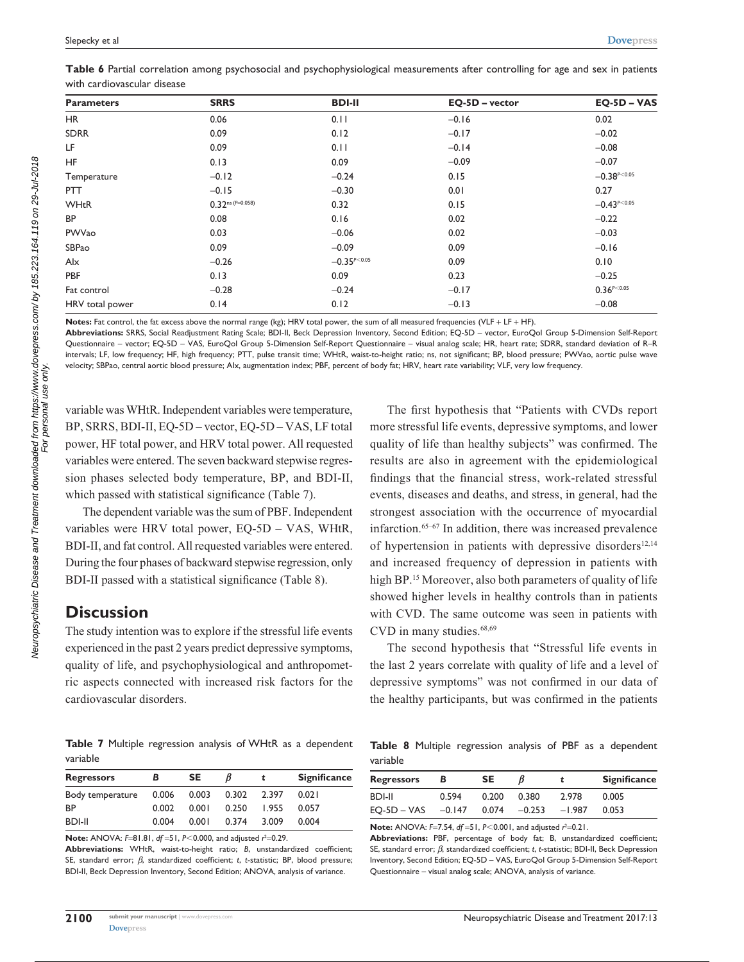|  |                             |  | Table 6 Partial correlation among psychosocial and psychophysiological measurements after controlling for age and sex in patients |  |  |  |  |
|--|-----------------------------|--|-----------------------------------------------------------------------------------------------------------------------------------|--|--|--|--|
|  | with cardiovascular disease |  |                                                                                                                                   |  |  |  |  |

| <b>Parameters</b> | <b>SRRS</b>                | <b>BDI-II</b>      | EQ-5D - vector | $EQ-5D - VAS$    |  |
|-------------------|----------------------------|--------------------|----------------|------------------|--|
| HR                | 0.06                       | 0.11               | $-0.16$        | 0.02             |  |
| <b>SDRR</b>       | 0.09                       | 0.12               | $-0.17$        | $-0.02$          |  |
| LF                | 0.09                       | 0.11               | $-0.14$        | $-0.08$          |  |
| <b>HF</b>         | 0.13                       | 0.09               | $-0.09$        | $-0.07$          |  |
| Temperature       | $-0.12$                    | $-0.24$            | 0.15           | $-0.38^{p<0.05}$ |  |
| <b>PTT</b>        | $-0.15$<br>$-0.30$<br>0.01 |                    |                | 0.27             |  |
| <b>WHtR</b>       | $0.32^{ns}$ (P=0.058)      | 0.32               | 0.15           | $-0.43^{p<0.05}$ |  |
| <b>BP</b>         | 0.08                       | 0.16               | 0.02           | $-0.22$          |  |
| PWVao             | 0.03                       | $-0.06$            | 0.02           | $-0.03$          |  |
| SBPao             | $-0.09$<br>0.09            |                    | 0.09           | $-0.16$          |  |
| Alx               | $-0.26$                    |                    | 0.09           | 0.10             |  |
| <b>PBF</b>        | 0.13<br>0.09               |                    | 0.23           | $-0.25$          |  |
| Fat control       | $-0.28$                    | $-0.24$<br>$-0.17$ |                | $0.36^{P<0.05}$  |  |
| HRV total power   | 0.14                       | 0.12               | $-0.13$        | $-0.08$          |  |

**Notes:** Fat control, the fat excess above the normal range (kg); HRV total power, the sum of all measured frequencies (VLF + LF + HF).

**Abbreviations:** SRRS, Social Readjustment Rating Scale; BDI-II, Beck Depression Inventory, Second Edition; EQ-5D – vector, EuroQol Group 5-Dimension Self-Report Questionnaire – vector; EQ-5D – VAS, EuroQol Group 5-Dimension Self-Report Questionnaire – visual analog scale; HR, heart rate; SDRR, standard deviation of R–R intervals; LF, low frequency; HF, high frequency; PTT, pulse transit time; WHtR, waist-to-height ratio; ns, not significant; BP, blood pressure; PWVao, aortic pulse wave velocity; SBPao, central aortic blood pressure; AIx, augmentation index; PBF, percent of body fat; HRV, heart rate variability; VLF, very low frequency.

variable was WHtR. Independent variables were temperature, BP, SRRS, BDI-II, EQ-5D – vector, EQ-5D – VAS, LF total power, HF total power, and HRV total power. All requested variables were entered. The seven backward stepwise regression phases selected body temperature, BP, and BDI-II, which passed with statistical significance (Table 7).

The dependent variable was the sum of PBF. Independent variables were HRV total power, EQ-5D – VAS, WHtR, BDI-II, and fat control. All requested variables were entered. During the four phases of backward stepwise regression, only BDI-II passed with a statistical significance (Table 8).

## **Discussion**

The study intention was to explore if the stressful life events experienced in the past 2 years predict depressive symptoms, quality of life, and psychophysiological and anthropometric aspects connected with increased risk factors for the cardiovascular disorders.

**Table 7** Multiple regression analysis of WHtR as a dependent variable

| <b>Regressors</b> | в     | <b>SE</b> | В     |       | <b>Significance</b> |
|-------------------|-------|-----------|-------|-------|---------------------|
| Body temperature  | 0.006 | 0.003     | 0.302 | 2.397 | 0.021               |
| <b>BP</b>         | 0.002 | 0.001     | 0.250 | 1.955 | 0.057               |
| <b>BDI-II</b>     | 0.004 | 0.001     | 0.374 | 3.009 | 0.004               |

**Note:** ANOVA: F=81.81, *df* = 51, *P*<0.000, and adjusted  $r^2$ =0.29.

**Abbreviations:** WHtR, waist-to-height ratio; *B*, unstandardized coefficient; SE, standard error; *β*, standardized coefficient; *t*, *t*-statistic; BP, blood pressure; BDI-II, Beck Depression Inventory, Second Edition; ANOVA, analysis of variance.

The first hypothesis that "Patients with CVDs report more stressful life events, depressive symptoms, and lower quality of life than healthy subjects" was confirmed. The results are also in agreement with the epidemiological findings that the financial stress, work-related stressful events, diseases and deaths, and stress, in general, had the strongest association with the occurrence of myocardial infarction.65–67 In addition, there was increased prevalence of hypertension in patients with depressive disorders $12,14$ and increased frequency of depression in patients with high BP.<sup>15</sup> Moreover, also both parameters of quality of life showed higher levels in healthy controls than in patients with CVD. The same outcome was seen in patients with CVD in many studies.<sup>68,69</sup>

The second hypothesis that "Stressful life events in the last 2 years correlate with quality of life and a level of depressive symptoms" was not confirmed in our data of the healthy participants, but was confirmed in the patients

**Table 8** Multiple regression analysis of PBF as a dependent variable

| <b>Regressors</b> | В        | SE.   |          |          | <b>Significance</b> |
|-------------------|----------|-------|----------|----------|---------------------|
| BDI-II            | 0.594    | 0.200 | 0.380    | 2.978    | 0.005               |
| $EO-SD - VAS$     | $-0.147$ | 0.074 | $-0.253$ | $-1.987$ | 0.053               |

**Note:** ANOVA: *F*=7.54, *df* =51, *P*<0.001, and adjusted  $r^2$ =0.21.

**Abbreviations:** PBF, percentage of body fat; B, unstandardized coefficient; SE, standard error; *β*, standardized coefficient; *t*, *t*-statistic; BDI-II, Beck Depression Inventory, Second Edition; EQ-5D – VAS, EuroQol Group 5-Dimension Self-Report Questionnaire – visual analog scale; ANOVA, analysis of variance.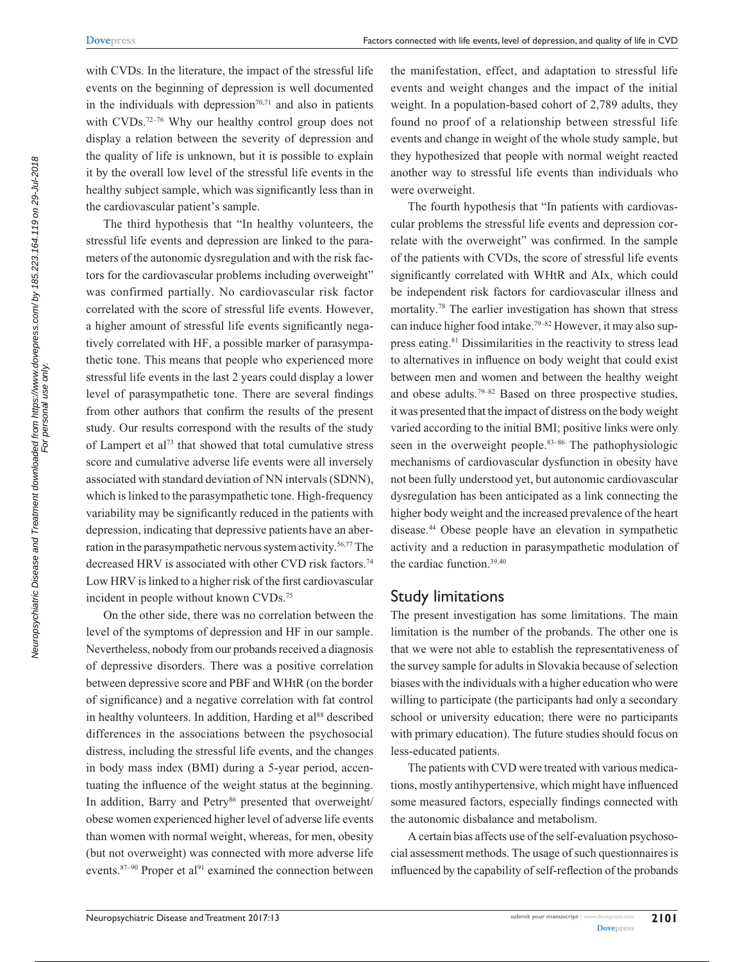with CVDs. In the literature, the impact of the stressful life events on the beginning of depression is well documented in the individuals with depression $70,71$  and also in patients with CVDs.<sup>72–76</sup> Why our healthy control group does not display a relation between the severity of depression and the quality of life is unknown, but it is possible to explain it by the overall low level of the stressful life events in the healthy subject sample, which was significantly less than in the cardiovascular patient's sample.

The third hypothesis that "In healthy volunteers, the stressful life events and depression are linked to the parameters of the autonomic dysregulation and with the risk factors for the cardiovascular problems including overweight" was confirmed partially. No cardiovascular risk factor correlated with the score of stressful life events. However, a higher amount of stressful life events significantly negatively correlated with HF, a possible marker of parasympathetic tone. This means that people who experienced more stressful life events in the last 2 years could display a lower level of parasympathetic tone. There are several findings from other authors that confirm the results of the present study. Our results correspond with the results of the study of Lampert et al73 that showed that total cumulative stress score and cumulative adverse life events were all inversely associated with standard deviation of NN intervals (SDNN), which is linked to the parasympathetic tone. High-frequency variability may be significantly reduced in the patients with depression, indicating that depressive patients have an aberration in the parasympathetic nervous system activity.<sup>56,77</sup> The decreased HRV is associated with other CVD risk factors.<sup>74</sup> Low HRV is linked to a higher risk of the first cardiovascular incident in people without known CVDs.75

On the other side, there was no correlation between the level of the symptoms of depression and HF in our sample. Nevertheless, nobody from our probands received a diagnosis of depressive disorders. There was a positive correlation between depressive score and PBF and WHtR (on the border of significance) and a negative correlation with fat control in healthy volunteers. In addition, Harding et al<sup>88</sup> described differences in the associations between the psychosocial distress, including the stressful life events, and the changes in body mass index (BMI) during a 5-year period, accentuating the influence of the weight status at the beginning. In addition, Barry and Petry<sup>86</sup> presented that overweight/ obese women experienced higher level of adverse life events than women with normal weight, whereas, for men, obesity (but not overweight) was connected with more adverse life events. $87-90$  Proper et al<sup>91</sup> examined the connection between the manifestation, effect, and adaptation to stressful life events and weight changes and the impact of the initial weight. In a population-based cohort of 2,789 adults, they found no proof of a relationship between stressful life events and change in weight of the whole study sample, but they hypothesized that people with normal weight reacted another way to stressful life events than individuals who were overweight.

The fourth hypothesis that "In patients with cardiovascular problems the stressful life events and depression correlate with the overweight" was confirmed. In the sample of the patients with CVDs, the score of stressful life events significantly correlated with WHtR and AIx, which could be independent risk factors for cardiovascular illness and mortality.78 The earlier investigation has shown that stress can induce higher food intake.79–82 However, it may also suppress eating.81 Dissimilarities in the reactivity to stress lead to alternatives in influence on body weight that could exist between men and women and between the healthy weight and obese adults.<sup>79-82</sup> Based on three prospective studies, it was presented that the impact of distress on the body weight varied according to the initial BMI; positive links were only seen in the overweight people.<sup>83–86</sup> The pathophysiologic mechanisms of cardiovascular dysfunction in obesity have not been fully understood yet, but autonomic cardiovascular dysregulation has been anticipated as a link connecting the higher body weight and the increased prevalence of the heart disease.44 Obese people have an elevation in sympathetic activity and a reduction in parasympathetic modulation of the cardiac function.39,40

### Study limitations

The present investigation has some limitations. The main limitation is the number of the probands. The other one is that we were not able to establish the representativeness of the survey sample for adults in Slovakia because of selection biases with the individuals with a higher education who were willing to participate (the participants had only a secondary school or university education; there were no participants with primary education). The future studies should focus on less-educated patients.

The patients with CVD were treated with various medications, mostly antihypertensive, which might have influenced some measured factors, especially findings connected with the autonomic disbalance and metabolism.

A certain bias affects use of the self-evaluation psychosocial assessment methods. The usage of such questionnaires is influenced by the capability of self-reflection of the probands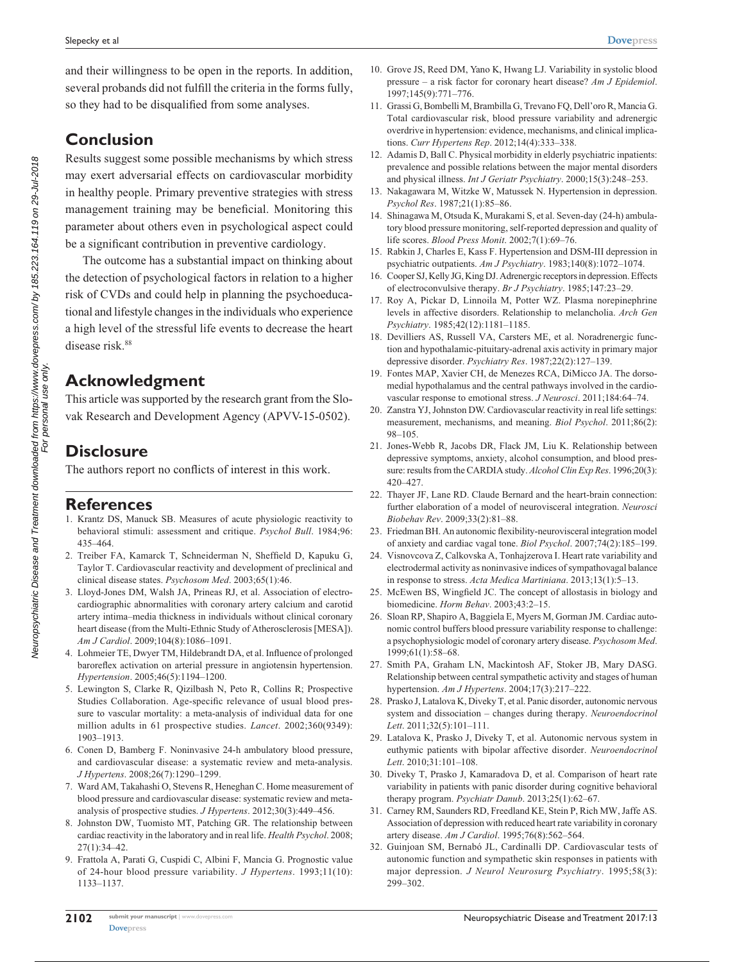and their willingness to be open in the reports. In addition, several probands did not fulfill the criteria in the forms fully, so they had to be disqualified from some analyses.

**Conclusion**

Results suggest some possible mechanisms by which stress may exert adversarial effects on cardiovascular morbidity in healthy people. Primary preventive strategies with stress management training may be beneficial. Monitoring this parameter about others even in psychological aspect could be a significant contribution in preventive cardiology.

The outcome has a substantial impact on thinking about the detection of psychological factors in relation to a higher risk of CVDs and could help in planning the psychoeducational and lifestyle changes in the individuals who experience a high level of the stressful life events to decrease the heart disease risk.<sup>88</sup>

## **Acknowledgment**

This article was supported by the research grant from the Slovak Research and Development Agency (APVV-15-0502).

# **Disclosure**

The authors report no conflicts of interest in this work.

### **References**

- 1. Krantz DS, Manuck SB. Measures of acute physiologic reactivity to behavioral stimuli: assessment and critique. *Psychol Bull*. 1984;96: 435–464.
- 2. Treiber FA, Kamarck T, Schneiderman N, Sheffield D, Kapuku G, Taylor T. Cardiovascular reactivity and development of preclinical and clinical disease states. *Psychosom Med*. 2003;65(1):46.
- 3. Lloyd-Jones DM, Walsh JA, Prineas RJ, et al. Association of electrocardiographic abnormalities with coronary artery calcium and carotid artery intima–media thickness in individuals without clinical coronary heart disease (from the Multi-Ethnic Study of Atherosclerosis [MESA]). *Am J Cardiol*. 2009;104(8):1086–1091.
- 4. Lohmeier TE, Dwyer TM, Hildebrandt DA, et al. Influence of prolonged baroreflex activation on arterial pressure in angiotensin hypertension. *Hypertension*. 2005;46(5):1194–1200.
- 5. Lewington S, Clarke R, Qizilbash N, Peto R, Collins R; Prospective Studies Collaboration. Age-specific relevance of usual blood pressure to vascular mortality: a meta-analysis of individual data for one million adults in 61 prospective studies. *Lancet*. 2002;360(9349): 1903–1913.
- 6. Conen D, Bamberg F. Noninvasive 24-h ambulatory blood pressure, and cardiovascular disease: a systematic review and meta-analysis. *J Hypertens*. 2008;26(7):1290–1299.
- 7. Ward AM, Takahashi O, Stevens R, Heneghan C. Home measurement of blood pressure and cardiovascular disease: systematic review and metaanalysis of prospective studies. *J Hypertens*. 2012;30(3):449–456.
- 8. Johnston DW, Tuomisto MT, Patching GR. The relationship between cardiac reactivity in the laboratory and in real life. *Health Psychol*. 2008; 27(1):34–42.
- 9. Frattola A, Parati G, Cuspidi C, Albini F, Mancia G. Prognostic value of 24-hour blood pressure variability. *J Hypertens*. 1993;11(10): 1133–1137.
- 10. Grove JS, Reed DM, Yano K, Hwang LJ. Variability in systolic blood pressure – a risk factor for coronary heart disease? *Am J Epidemiol*. 1997;145(9):771–776.
- 11. Grassi G, Bombelli M, Brambilla G, Trevano FQ, Dell'oro R, Mancia G. Total cardiovascular risk, blood pressure variability and adrenergic overdrive in hypertension: evidence, mechanisms, and clinical implications. *Curr Hypertens Rep*. 2012;14(4):333–338.
- 12. Adamis D, Ball C. Physical morbidity in elderly psychiatric inpatients: prevalence and possible relations between the major mental disorders and physical illness. *Int J Geriatr Psychiatry*. 2000;15(3):248–253.
- 13. Nakagawara M, Witzke W, Matussek N. Hypertension in depression. *Psychol Res*. 1987;21(1):85–86.
- 14. Shinagawa M, Otsuda K, Murakami S, et al. Seven-day (24-h) ambulatory blood pressure monitoring, self-reported depression and quality of life scores. *Blood Press Monit*. 2002;7(1):69–76.
- 15. Rabkin J, Charles E, Kass F. Hypertension and DSM-III depression in psychiatric outpatients. *Am J Psychiatry*. 1983;140(8):1072–1074.
- 16. Cooper SJ, Kelly JG, King DJ. Adrenergic receptors in depression. Effects of electroconvulsive therapy. *Br J Psychiatry*. 1985;147:23–29.
- 17. Roy A, Pickar D, Linnoila M, Potter WZ. Plasma norepinephrine levels in affective disorders. Relationship to melancholia. *Arch Gen Psychiatry*. 1985;42(12):1181–1185.
- 18. Devilliers AS, Russell VA, Carsters ME, et al. Noradrenergic function and hypothalamic-pituitary-adrenal axis activity in primary major depressive disorder. *Psychiatry Res*. 1987;22(2):127–139.
- 19. Fontes MAP, Xavier CH, de Menezes RCA, DiMicco JA. The dorsomedial hypothalamus and the central pathways involved in the cardiovascular response to emotional stress. *J Neurosci*. 2011;184:64–74.
- 20. Zanstra YJ, Johnston DW. Cardiovascular reactivity in real life settings: measurement, mechanisms, and meaning. *Biol Psychol*. 2011;86(2): 98–105.
- 21. Jones-Webb R, Jacobs DR, Flack JM, Liu K. Relationship between depressive symptoms, anxiety, alcohol consumption, and blood pressure: results from the CARDIA study. *Alcohol Clin Exp Res*. 1996;20(3): 420–427.
- 22. Thayer JF, Lane RD. Claude Bernard and the heart-brain connection: further elaboration of a model of neurovisceral integration. *Neurosci Biobehav Rev*. 2009;33(2):81–88.
- 23. Friedman BH. An autonomic flexibility-neurovisceral integration model of anxiety and cardiac vagal tone. *Biol Psychol*. 2007;74(2):185–199.
- 24. Visnovcova Z, Calkovska A, Tonhajzerova I. Heart rate variability and electrodermal activity as noninvasive indices of sympathovagal balance in response to stress. *Acta Medica Martiniana*. 2013;13(1):5–13.
- 25. McEwen BS, Wingfield JC. The concept of allostasis in biology and biomedicine. *Horm Behav*. 2003;43:2–15.
- 26. Sloan RP, Shapiro A, Baggiela E, Myers M, Gorman JM. Cardiac autonomic control buffers blood pressure variability response to challenge: a psychophysiologic model of coronary artery disease. *Psychosom Med*. 1999;61(1):58–68.
- 27. Smith PA, Graham LN, Mackintosh AF, Stoker JB, Mary DASG. Relationship between central sympathetic activity and stages of human hypertension. *Am J Hypertens*. 2004;17(3):217–222.
- 28. Prasko J, Latalova K, Diveky T, et al. Panic disorder, autonomic nervous system and dissociation – changes during therapy. *Neuroendocrinol Lett*. 2011;32(5):101–111.
- 29. Latalova K, Prasko J, Diveky T, et al. Autonomic nervous system in euthymic patients with bipolar affective disorder. *Neuroendocrinol Lett*. 2010;31:101–108.
- 30. Diveky T, Prasko J, Kamaradova D, et al. Comparison of heart rate variability in patients with panic disorder during cognitive behavioral therapy program. *Psychiatr Danub*. 2013;25(1):62–67.
- 31. Carney RM, Saunders RD, Freedland KE, Stein P, Rich MW, Jaffe AS. Association of depression with reduced heart rate variability in coronary artery disease. *Am J Cardiol*. 1995;76(8):562–564.
- 32. Guinjoan SM, Bernabó JL, Cardinalli DP. Cardiovascular tests of autonomic function and sympathetic skin responses in patients with major depression. *J Neurol Neurosurg Psychiatry*. 1995;58(3): 299–302.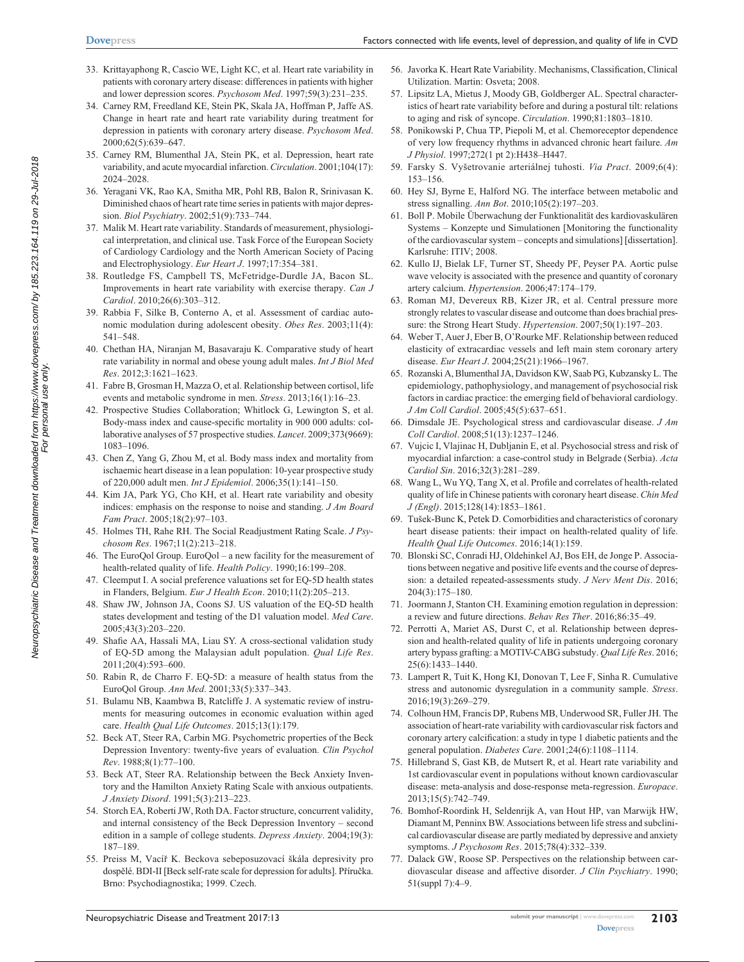- 33. Krittayaphong R, Cascio WE, Light KC, et al. Heart rate variability in patients with coronary artery disease: differences in patients with higher and lower depression scores. *Psychosom Med*. 1997;59(3):231–235.
- 34. Carney RM, Freedland KE, Stein PK, Skala JA, Hoffman P, Jaffe AS. Change in heart rate and heart rate variability during treatment for depression in patients with coronary artery disease. *Psychosom Med*. 2000;62(5):639–647.
- 35. Carney RM, Blumenthal JA, Stein PK, et al. Depression, heart rate variability, and acute myocardial infarction. *Circulation*. 2001;104(17): 2024–2028.
- 36. Yeragani VK, Rao KA, Smitha MR, Pohl RB, Balon R, Srinivasan K. Diminished chaos of heart rate time series in patients with major depression. *Biol Psychiatry*. 2002;51(9):733–744.
- 37. Malik M. Heart rate variability. Standards of measurement, physiological interpretation, and clinical use. Task Force of the European Society of Cardiology Cardiology and the North American Society of Pacing and Electrophysiology. *Eur Heart J*. 1997;17:354–381.
- 38. Routledge FS, Campbell TS, McFetridge-Durdle JA, Bacon SL. Improvements in heart rate variability with exercise therapy. *Can J Cardiol*. 2010;26(6):303–312.
- 39. Rabbia F, Silke B, Conterno A, et al. Assessment of cardiac autonomic modulation during adolescent obesity. *Obes Res*. 2003;11(4): 541–548.
- 40. Chethan HA, Niranjan M, Basavaraju K. Comparative study of heart rate variability in normal and obese young adult males. *Int J Biol Med Res*. 2012;3:1621–1623.
- 41. Fabre B, Grosman H, Mazza O, et al. Relationship between cortisol, life events and metabolic syndrome in men. *Stress*. 2013;16(1):16–23.
- 42. Prospective Studies Collaboration; Whitlock G, Lewington S, et al. Body-mass index and cause-specific mortality in 900 000 adults: collaborative analyses of 57 prospective studies. *Lancet*. 2009;373(9669): 1083–1096.
- 43. Chen Z, Yang G, Zhou M, et al. Body mass index and mortality from ischaemic heart disease in a lean population: 10-year prospective study of 220,000 adult men. *Int J Epidemiol*. 2006;35(1):141–150.
- 44. Kim JA, Park YG, Cho KH, et al. Heart rate variability and obesity indices: emphasis on the response to noise and standing. *J Am Board Fam Pract*. 2005;18(2):97–103.
- 45. Holmes TH, Rahe RH. The Social Readjustment Rating Scale. *J Psychosom Res*. 1967;11(2):213–218.
- 46. The EuroQol Group. EuroQol a new facility for the measurement of health-related quality of life. *Health Policy*. 1990;16:199–208.
- 47. Cleemput I. A social preference valuations set for EQ-5D health states in Flanders, Belgium. *Eur J Health Econ*. 2010;11(2):205–213.
- 48. Shaw JW, Johnson JA, Coons SJ. US valuation of the EQ-5D health states development and testing of the D1 valuation model. *Med Care*. 2005;43(3):203–220.
- 49. Shafie AA, Hassali MA, Liau SY. A cross-sectional validation study of EQ-5D among the Malaysian adult population. *Qual Life Res*. 2011;20(4):593–600.
- 50. Rabin R, de Charro F. EQ-5D: a measure of health status from the EuroQol Group. *Ann Med*. 2001;33(5):337–343.
- 51. Bulamu NB, Kaambwa B, Ratcliffe J. A systematic review of instruments for measuring outcomes in economic evaluation within aged care. *Health Qual Life Outcomes*. 2015;13(1):179.
- 52. Beck AT, Steer RA, Carbin MG. Psychometric properties of the Beck Depression Inventory: twenty-five years of evaluation. *Clin Psychol Rev*. 1988;8(1):77–100.
- 53. Beck AT, Steer RA. Relationship between the Beck Anxiety Inventory and the Hamilton Anxiety Rating Scale with anxious outpatients. *J Anxiety Disord*. 1991;5(3):213–223.
- 54. Storch EA, Roberti JW, Roth DA. Factor structure, concurrent validity, and internal consistency of the Beck Depression Inventory – second edition in a sample of college students. *Depress Anxiety*. 2004;19(3): 187–189.
- 55. Preiss M, Vacíř K. Beckova sebeposuzovací škála depresivity pro dospělé. BDI-II [Beck self-rate scale for depression for adults]. Příručka. Brno: Psychodiagnostika; 1999. Czech.
- 56. Javorka K. Heart Rate Variability. Mechanisms, Classification, Clinical Utilization. Martin: Osveta; 2008.
- 57. Lipsitz LA, Mietus J, Moody GB, Goldberger AL. Spectral characteristics of heart rate variability before and during a postural tilt: relations to aging and risk of syncope. *Circulation*. 1990;81:1803–1810.
- 58. Ponikowski P, Chua TP, Piepoli M, et al. Chemoreceptor dependence of very low frequency rhythms in advanced chronic heart failure. *Am J Physiol*. 1997;272(1 pt 2):H438–H447.
- 59. Farsky S. Vyšetrovanie arteriálnej tuhosti. *Via Pract*. 2009;6(4): 153–156.
- 60. Hey SJ, Byrne E, Halford NG. The interface between metabolic and stress signalling. *Ann Bot*. 2010;105(2):197–203.
- 61. Boll P. Mobile Überwachung der Funktionalität des kardiovaskulären Systems – Konzepte und Simulationen [Monitoring the functionality of the cardiovascular system – concepts and simulations] [dissertation]. Karlsruhe: ITIV; 2008.
- 62. Kullo IJ, Bielak LF, Turner ST, Sheedy PF, Peyser PA. Aortic pulse wave velocity is associated with the presence and quantity of coronary artery calcium. *Hypertension*. 2006;47:174–179.
- 63. Roman MJ, Devereux RB, Kizer JR, et al. Central pressure more strongly relates to vascular disease and outcome than does brachial pressure: the Strong Heart Study. *Hypertension*. 2007;50(1):197–203.
- 64. Weber T, Auer J, Eber B, O'Rourke MF. Relationship between reduced elasticity of extracardiac vessels and left main stem coronary artery disease. *Eur Heart J*. 2004;25(21):1966–1967.
- 65. Rozanski A, Blumenthal JA, Davidson KW, Saab PG, Kubzansky L. The epidemiology, pathophysiology, and management of psychosocial risk factors in cardiac practice: the emerging field of behavioral cardiology. *J Am Coll Cardiol*. 2005;45(5):637–651.
- 66. Dimsdale JE. Psychological stress and cardiovascular disease. *J Am Coll Cardiol*. 2008;51(13):1237–1246.
- 67. Vujcic I, Vlajinac H, Dubljanin E, et al. Psychosocial stress and risk of myocardial infarction: a case-control study in Belgrade (Serbia). *Acta Cardiol Sin*. 2016;32(3):281–289.
- 68. Wang L, Wu YQ, Tang X, et al. Profile and correlates of health-related quality of life in Chinese patients with coronary heart disease. *Chin Med J (Engl)*. 2015;128(14):1853–1861.
- 69. Tušek-Bunc K, Petek D. Comorbidities and characteristics of coronary heart disease patients: their impact on health-related quality of life. *Health Qual Life Outcomes*. 2016;14(1):159.
- 70. Blonski SC, Conradi HJ, Oldehinkel AJ, Bos EH, de Jonge P. Associations between negative and positive life events and the course of depression: a detailed repeated-assessments study. *J Nerv Ment Dis*. 2016; 204(3):175–180.
- 71. Joormann J, Stanton CH. Examining emotion regulation in depression: a review and future directions. *Behav Res Ther*. 2016;86:35–49.
- 72. Perrotti A, Mariet AS, Durst C, et al. Relationship between depression and health-related quality of life in patients undergoing coronary artery bypass grafting: a MOTIV-CABG substudy. *Qual Life Res*. 2016; 25(6):1433–1440.
- 73. Lampert R, Tuit K, Hong KI, Donovan T, Lee F, Sinha R. Cumulative stress and autonomic dysregulation in a community sample. *Stress*. 2016;19(3):269–279.
- 74. Colhoun HM, Francis DP, Rubens MB, Underwood SR, Fuller JH. The association of heart-rate variability with cardiovascular risk factors and coronary artery calcification: a study in type 1 diabetic patients and the general population. *Diabetes Care*. 2001;24(6):1108–1114.
- 75. Hillebrand S, Gast KB, de Mutsert R, et al. Heart rate variability and 1st cardiovascular event in populations without known cardiovascular disease: meta-analysis and dose-response meta-regression. *Europace*. 2013;15(5):742–749.
- 76. Bomhof-Roordink H, Seldenrijk A, van Hout HP, van Marwijk HW, Diamant M, Penninx BW. Associations between life stress and subclinical cardiovascular disease are partly mediated by depressive and anxiety symptoms. *J Psychosom Res*. 2015;78(4):332–339.
- 77. Dalack GW, Roose SP. Perspectives on the relationship between cardiovascular disease and affective disorder. *J Clin Psychiatry*. 1990; 51(suppl 7):4–9.